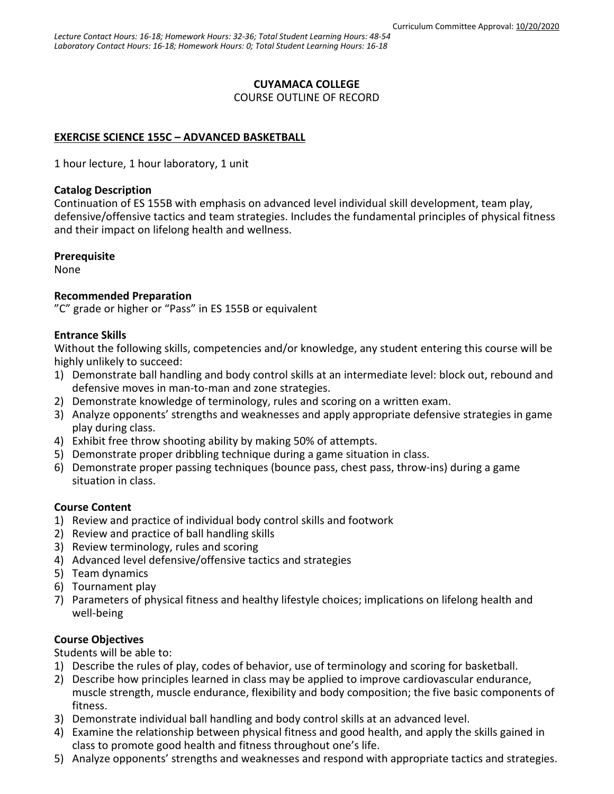## **CUYAMACA COLLEGE**

COURSE OUTLINE OF RECORD

# **EXERCISE SCIENCE 155C – ADVANCED BASKETBALL**

1 hour lecture, 1 hour laboratory, 1 unit

### **Catalog Description**

Continuation of ES 155B with emphasis on advanced level individual skill development, team play, defensive/offensive tactics and team strategies. Includes the fundamental principles of physical fitness and their impact on lifelong health and wellness.

### **Prerequisite**

None

### **Recommended Preparation**

"C" grade or higher or "Pass" in ES 155B or equivalent

### **Entrance Skills**

Without the following skills, competencies and/or knowledge, any student entering this course will be highly unlikely to succeed:

- 1) Demonstrate ball handling and body control skills at an intermediate level: block out, rebound and defensive moves in man-to-man and zone strategies.
- 2) Demonstrate knowledge of terminology, rules and scoring on a written exam.
- 3) Analyze opponents' strengths and weaknesses and apply appropriate defensive strategies in game play during class.
- 4) Exhibit free throw shooting ability by making 50% of attempts.
- 5) Demonstrate proper dribbling technique during a game situation in class.
- 6) Demonstrate proper passing techniques (bounce pass, chest pass, throw-ins) during a game situation in class.

### **Course Content**

- 1) Review and practice of individual body control skills and footwork
- 2) Review and practice of ball handling skills
- 3) Review terminology, rules and scoring
- 4) Advanced level defensive/offensive tactics and strategies
- 5) Team dynamics
- 6) Tournament play
- 7) Parameters of physical fitness and healthy lifestyle choices; implications on lifelong health and well-being

# **Course Objectives**

Students will be able to:

- 1) Describe the rules of play, codes of behavior, use of terminology and scoring for basketball.
- 2) Describe how principles learned in class may be applied to improve cardiovascular endurance, muscle strength, muscle endurance, flexibility and body composition; the five basic components of fitness.
- 3) Demonstrate individual ball handling and body control skills at an advanced level.
- 4) Examine the relationship between physical fitness and good health, and apply the skills gained in class to promote good health and fitness throughout one's life.
- 5) Analyze opponents' strengths and weaknesses and respond with appropriate tactics and strategies.